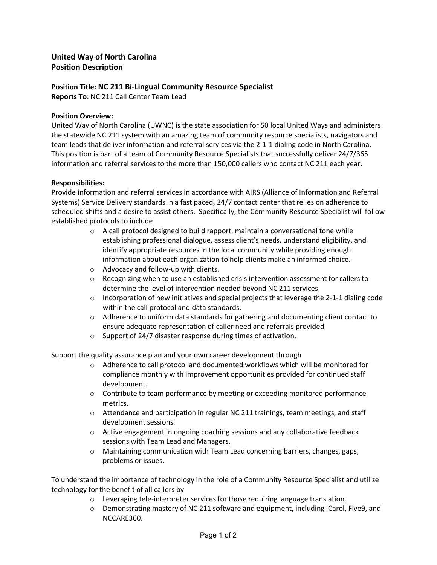## **United Way of North Carolina Position Description**

# **Position Title: NC 211 Bi-Lingual Community Resource Specialist**

**Reports To**: NC 211 Call Center Team Lead

### **Position Overview:**

United Way of North Carolina (UWNC) is the state association for 50 local United Ways and administers the statewide NC 211 system with an amazing team of community resource specialists, navigators and team leads that deliver information and referral services via the 2-1-1 dialing code in North Carolina. This position is part of a team of Community Resource Specialists that successfully deliver 24/7/365 information and referral services to the more than 150,000 callers who contact NC 211 each year.

#### **Responsibilities:**

Provide information and referral services in accordance with AIRS (Alliance of Information and Referral Systems) Service Delivery standards in a fast paced, 24/7 contact center that relies on adherence to scheduled shifts and a desire to assist others. Specifically, the Community Resource Specialist will follow established protocols to include

- o A call protocol designed to build rapport, maintain a conversational tone while establishing professional dialogue, assess client's needs, understand eligibility, and identify appropriate resources in the local community while providing enough information about each organization to help clients make an informed choice.
- o Advocacy and follow-up with clients.
- o Recognizing when to use an established crisis intervention assessment for callers to determine the level of intervention needed beyond NC 211 services.
- $\circ$  Incorporation of new initiatives and special projects that leverage the 2-1-1 dialing code within the call protocol and data standards.
- o Adherence to uniform data standards for gathering and documenting client contact to ensure adequate representation of caller need and referrals provided.
- o Support of 24/7 disaster response during times of activation.

Support the quality assurance plan and your own career development through

- $\circ$  Adherence to call protocol and documented workflows which will be monitored for compliance monthly with improvement opportunities provided for continued staff development.
- $\circ$  Contribute to team performance by meeting or exceeding monitored performance metrics.
- $\circ$  Attendance and participation in regular NC 211 trainings, team meetings, and staff development sessions.
- o Active engagement in ongoing coaching sessions and any collaborative feedback sessions with Team Lead and Managers.
- o Maintaining communication with Team Lead concerning barriers, changes, gaps, problems or issues.

To understand the importance of technology in the role of a Community Resource Specialist and utilize technology for the benefit of all callers by

- $\circ$  Leveraging tele-interpreter services for those requiring language translation.
- o Demonstrating mastery of NC 211 software and equipment, including iCarol, Five9, and NCCARE360.